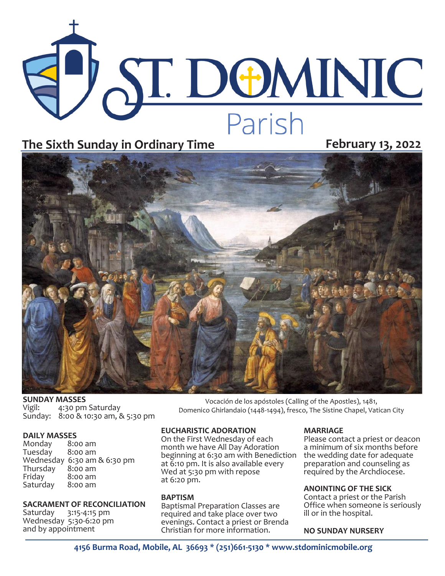# **ST. DOMINIC** The Sixth Sunday in Ordinary Time<br>
February 13, 2022



**SUNDAY MASSES**<br>Vigil: 4:30 pm 4:30 pm Saturday Sunday: 8:00 & 10:30 am, & 5:30 pm

**DAILY MASSES**  Monday 8:00 am Tuesday Wednesday 6:30 am & 6:30 pm<br>Thursday 8:00 am Thursday<br>Friday  $8:00$  am<br> $8:00$  am Saturday

# **SACRAMENT OF RECONCILIATION**

Saturday 3:15-4:15 pm Wednesday 5:30-6:20 pm and by appointment

# **EUCHARISTIC ADORATION**

On the First Wednesday of each month we have All Day Adoration beginning at 6:30 am with Benediction at 6:10 pm. It is also available every Wed at 5:30 pm with repose at 6:20 pm.

# **BAPTISM**

Baptismal Preparation Classes are required and take place over two evenings. Contact a priest or Brenda Christian for more information.

# **MARRIAGE**

Vocación de los apóstoles (Calling of the Apostles), 1481, Domenico Ghirlandaio (1448-1494), fresco, The Sistine Chapel, Vatican City

> Please contact a priest or deacon a minimum of six months before the wedding date for adequate preparation and counseling as required by the Archdiocese.

# **ANOINTING OF THE SICK**

Contact a priest or the Parish Office when someone is seriously ill or in the hospital.

# **NO SUNDAY NURSERY**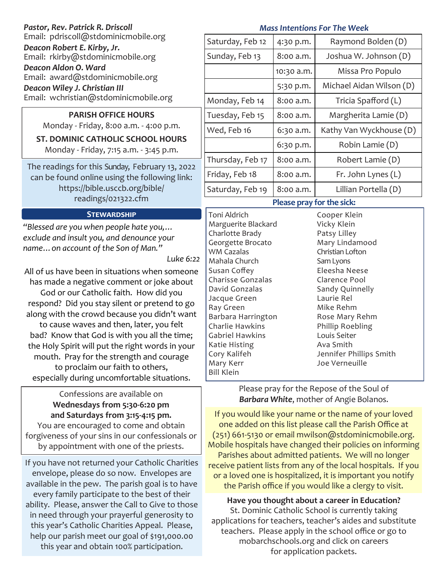| Pastor, Rev. Patrick R. Driscoll<br>Email: pdriscoll@stdominicmobile.org<br>Deacon Robert E. Kirby, Jr.<br>Email: rkirby@stdominicmobile.org<br>Deacon Aldon O. Ward<br>Email: award@stdominicmobile.org<br>Deacon Wiley J. Christian III<br>Email: wchristian@stdominicmobile.org | <b>Mass Intentions For The Week</b> |            |                             |
|------------------------------------------------------------------------------------------------------------------------------------------------------------------------------------------------------------------------------------------------------------------------------------|-------------------------------------|------------|-----------------------------|
|                                                                                                                                                                                                                                                                                    | Saturday, Feb 12                    | 4:30 p.m.  | Raymond Bolden (D)          |
|                                                                                                                                                                                                                                                                                    | Sunday, Feb 13                      | 8:00 a.m.  | Joshua W. Johnson (D)       |
|                                                                                                                                                                                                                                                                                    |                                     | 10:30 a.m. | Missa Pro Populo            |
|                                                                                                                                                                                                                                                                                    |                                     | 5:30 p.m.  | Michael Aidan Wilson (D)    |
|                                                                                                                                                                                                                                                                                    | Monday, Feb 14                      | 8:00 a.m.  | Tricia Spafford (L)         |
| <b>PARISH OFFICE HOURS</b><br>Monday - Friday, 8:00 a.m. - 4:00 p.m.<br><b>ST. DOMINIC CATHOLIC SCHOOL HOURS</b><br>Monday - Friday, 7:15 a.m. - 3:45 p.m.                                                                                                                         | Tuesday, Feb 15                     | 8:00 a.m.  | Margherita Lamie (D)        |
|                                                                                                                                                                                                                                                                                    | Wed, Feb 16                         | 6:30 a.m.  | Kathy Van Wyckhouse (D)     |
|                                                                                                                                                                                                                                                                                    |                                     | 6:30 p.m.  | Robin Lamie (D)             |
| The readings for this Sunday, February 13, 2022<br>can be found online using the following link:<br>https://bible.usccb.org/bible/<br>readings/021322.cfm                                                                                                                          | Thursday, Feb 17                    | 8:00 a.m.  | Robert Lamie (D)            |
|                                                                                                                                                                                                                                                                                    | Friday, Feb 18                      | 8:00 a.m.  | Fr. John Lynes (L)          |
|                                                                                                                                                                                                                                                                                    | Saturday, Feb 19                    | 8:00 a.m.  | Lillian Portella (D)        |
|                                                                                                                                                                                                                                                                                    | Please pray for the sick:           |            |                             |
| <b>STEWARDSHIP</b>                                                                                                                                                                                                                                                                 | Toni Aldrich<br>Marquerite Blackard |            | Cooper Klein<br>Vicky Klain |

*"Blessed are you when people hate you,… exclude and insult you, and denounce your name…on account of the Son of Man."*

*Luke 6:22*

All of us have been in situations when someone has made a negative comment or joke about God or our Catholic faith. How did you respond? Did you stay silent or pretend to go along with the crowd because you didn't want to cause waves and then, later, you felt bad? Know that God is with you all the time; the Holy Spirit will put the right words in your mouth. Pray for the strength and courage to proclaim our faith to others, especially during uncomfortable situations.

Confessions are available on **Wednesdays from 5:30-6:20 pm and Saturdays from 3:15-4:15 pm.**  You are encouraged to come and obtain

forgiveness of your sins in our confessionals or by appointment with one of the priests.

If you have not returned your Catholic Charities envelope, please do so now. Envelopes are available in the pew. The parish goal is to have every family participate to the best of their ability. Please, answer the Call to Give to those in need through your prayerful generosity to this year's Catholic Charities Appeal. Please, help our parish meet our goal of \$191,000.00 this year and obtain 100% participation.

Marguerite Blackard Charlotte Brady Georgette Brocato WM Cazalas Mahala Church Susan Coffey Charisse Gonzalas David Gonzalas Jacque Green Ray Green Barbara Harrington Charlie Hawkins Gabriel Hawkins Katie Histing Cory Kalifeh Mary Kerr Bill Klein

Vicky Klein Patsy Lilley Mary Lindamood Christian Lofton Sam Lyons Eleesha Neese Clarence Pool Sandy Quinnelly Laurie Rel Mike Rehm Rose Mary Rehm Phillip Roebling Louis Seiter Ava Smith Jennifer Phillips Smith Joe Verneuille

Please pray for the Repose of the Soul of *Barbara White*, mother of Angie Bolanos.

If you would like your name or the name of your loved one added on this list please call the Parish Office at (251) 661-5130 or email mwilson@stdominicmobile.org. Mobile hospitals have changed their policies on informing Parishes about admitted patients. We will no longer receive patient lists from any of the local hospitals. If you or a loved one is hospitalized, it is important you notify the Parish office if you would like a clergy to visit.

**Have you thought about a career in Education?**  St. Dominic Catholic School is currently taking applications for teachers, teacher's aides and substitute teachers. Please apply in the school office or go to mobarchschools.org and click on careers for application packets.